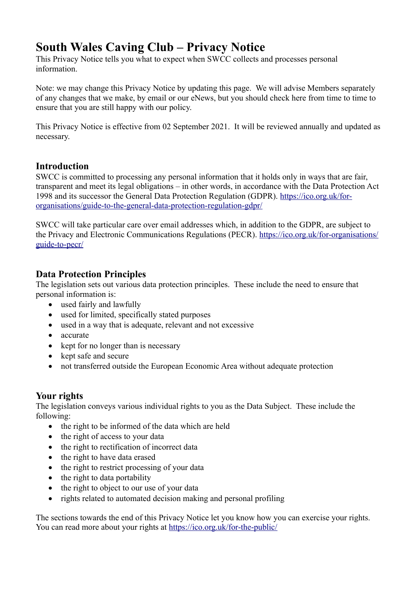# **South Wales Caving Club – Privacy Notice**

This Privacy Notice tells you what to expect when SWCC collects and processes personal information.

Note: we may change this Privacy Notice by updating this page. We will advise Members separately of any changes that we make, by email or our eNews, but you should check here from time to time to ensure that you are still happy with our policy.

This Privacy Notice is effective from 02 September 2021. It will be reviewed annually and updated as necessary.

# **Introduction**

SWCC is committed to processing any personal information that it holds only in ways that are fair, transparent and meet its legal obligations – in other words, in accordance with the Data Protection Act 1998 and its successor the General Data Protection Regulation (GDPR). https://ico.org.uk/fororganisations/guide-to-the-general-data-protection-regulation-gdpr/

SWCC will take particular care over email addresses which, in addition to the GDPR, are subject to the Privacy and Electronic Communications Regulations (PECR). https://ico.org.uk/for-organisations/ guide-to-pecr/

# **Data Protection Principles**

The legislation sets out various data protection principles. These include the need to ensure that personal information is:

- used fairly and lawfully
- used for limited, specifically stated purposes
- used in a way that is adequate, relevant and not excessive
- accurate
- kept for no longer than is necessary
- kept safe and secure
- not transferred outside the European Economic Area without adequate protection

# **Your rights**

The legislation conveys various individual rights to you as the Data Subject. These include the following:

- the right to be informed of the data which are held
- the right of access to your data
- the right to rectification of incorrect data
- the right to have data erased
- the right to restrict processing of your data
- the right to data portability
- the right to object to our use of your data
- rights related to automated decision making and personal profiling

The sections towards the end of this Privacy Notice let you know how you can exercise your rights. You can read more about your rights at https://ico.org.uk/for-the-public/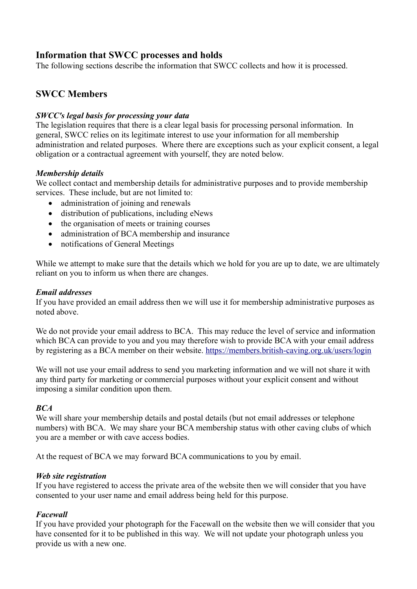# **Information that SWCC processes and holds**

The following sections describe the information that SWCC collects and how it is processed.

# **SWCC Members**

### *SWCC's legal basis for processing your data*

The legislation requires that there is a clear legal basis for processing personal information. In general, SWCC relies on its legitimate interest to use your information for all membership administration and related purposes. Where there are exceptions such as your explicit consent, a legal obligation or a contractual agreement with yourself, they are noted below.

### *Membership details*

We collect contact and membership details for administrative purposes and to provide membership services. These include, but are not limited to:

- administration of joining and renewals
- distribution of publications, including eNews
- the organisation of meets or training courses
- administration of BCA membership and insurance
- notifications of General Meetings

While we attempt to make sure that the details which we hold for you are up to date, we are ultimately reliant on you to inform us when there are changes.

#### *Email addresses*

If you have provided an email address then we will use it for membership administrative purposes as noted above.

We do not provide your email address to BCA. This may reduce the level of service and information which BCA can provide to you and you may therefore wish to provide BCA with your email address by registering as a BCA member on their website. https://members.british-caving.org.uk/users/login

We will not use your email address to send you marketing information and we will not share it with any third party for marketing or commercial purposes without your explicit consent and without imposing a similar condition upon them.

#### *BCA*

We will share your membership details and postal details (but not email addresses or telephone numbers) with BCA. We may share your BCA membership status with other caving clubs of which you are a member or with cave access bodies.

At the request of BCA we may forward BCA communications to you by email.

#### *Web site registration*

If you have registered to access the private area of the website then we will consider that you have consented to your user name and email address being held for this purpose.

#### *Facewall*

If you have provided your photograph for the Facewall on the website then we will consider that you have consented for it to be published in this way. We will not update your photograph unless you provide us with a new one.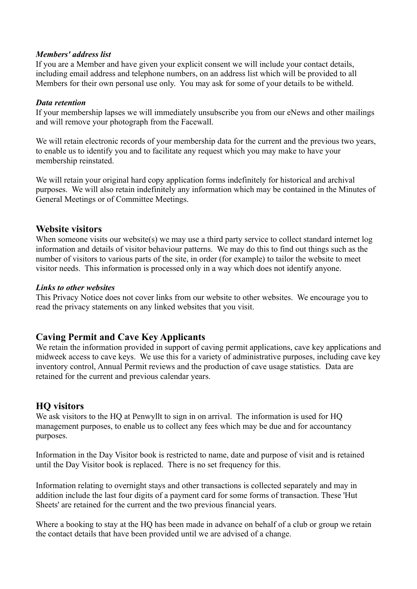#### *Members' address list*

If you are a Member and have given your explicit consent we will include your contact details, including email address and telephone numbers, on an address list which will be provided to all Members for their own personal use only. You may ask for some of your details to be witheld.

### *Data retention*

If your membership lapses we will immediately unsubscribe you from our eNews and other mailings and will remove your photograph from the Facewall.

We will retain electronic records of your membership data for the current and the previous two years, to enable us to identify you and to facilitate any request which you may make to have your membership reinstated.

We will retain your original hard copy application forms indefinitely for historical and archival purposes. We will also retain indefinitely any information which may be contained in the Minutes of General Meetings or of Committee Meetings.

### **Website visitors**

When someone visits our website(s) we may use a third party service to collect standard internet log information and details of visitor behaviour patterns. We may do this to find out things such as the number of visitors to various parts of the site, in order (for example) to tailor the website to meet visitor needs. This information is processed only in a way which does not identify anyone.

### *Links to other websites*

This Privacy Notice does not cover links from our website to other websites. We encourage you to read the privacy statements on any linked websites that you visit.

# **Caving Permit and Cave Key Applicants**

We retain the information provided in support of caving permit applications, cave key applications and midweek access to cave keys. We use this for a variety of administrative purposes, including cave key inventory control, Annual Permit reviews and the production of cave usage statistics. Data are retained for the current and previous calendar years.

### **HQ visitors**

We ask visitors to the HQ at Penwyllt to sign in on arrival. The information is used for HQ management purposes, to enable us to collect any fees which may be due and for accountancy purposes.

Information in the Day Visitor book is restricted to name, date and purpose of visit and is retained until the Day Visitor book is replaced. There is no set frequency for this.

Information relating to overnight stays and other transactions is collected separately and may in addition include the last four digits of a payment card for some forms of transaction. These 'Hut Sheets' are retained for the current and the two previous financial years.

Where a booking to stay at the HQ has been made in advance on behalf of a club or group we retain the contact details that have been provided until we are advised of a change.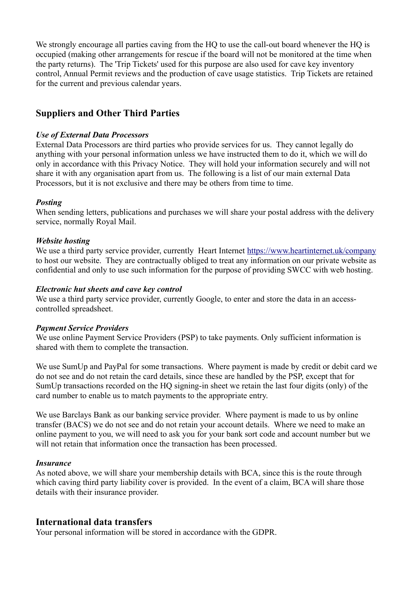We strongly encourage all parties caving from the HQ to use the call-out board whenever the HQ is occupied (making other arrangements for rescue if the board will not be monitored at the time when the party returns). The 'Trip Tickets' used for this purpose are also used for cave key inventory control, Annual Permit reviews and the production of cave usage statistics. Trip Tickets are retained for the current and previous calendar years.

# **Suppliers and Other Third Parties**

#### *Use of External Data Processors*

External Data Processors are third parties who provide services for us. They cannot legally do anything with your personal information unless we have instructed them to do it, which we will do only in accordance with this Privacy Notice. They will hold your information securely and will not share it with any organisation apart from us. The following is a list of our main external Data Processors, but it is not exclusive and there may be others from time to time.

#### *Posting*

When sending letters, publications and purchases we will share your postal address with the delivery service, normally Royal Mail.

#### *Website hosting*

We use a third party service provider, currently Heart Internet https://www.heartinternet.uk/company to host our website. They are contractually obliged to treat any information on our private website as confidential and only to use such information for the purpose of providing SWCC with web hosting.

#### *Electronic hut sheets and cave key control*

We use a third party service provider, currently Google, to enter and store the data in an accesscontrolled spreadsheet.

#### *Payment Service Providers*

We use online Payment Service Providers (PSP) to take payments. Only sufficient information is shared with them to complete the transaction.

We use SumUp and PayPal for some transactions. Where payment is made by credit or debit card we do not see and do not retain the card details, since these are handled by the PSP, except that for SumUp transactions recorded on the HQ signing-in sheet we retain the last four digits (only) of the card number to enable us to match payments to the appropriate entry.

We use Barclays Bank as our banking service provider. Where payment is made to us by online transfer (BACS) we do not see and do not retain your account details. Where we need to make an online payment to you, we will need to ask you for your bank sort code and account number but we will not retain that information once the transaction has been processed.

#### *Insurance*

As noted above, we will share your membership details with BCA, since this is the route through which caving third party liability cover is provided. In the event of a claim, BCA will share those details with their insurance provider.

### **International data transfers**

Your personal information will be stored in accordance with the GDPR.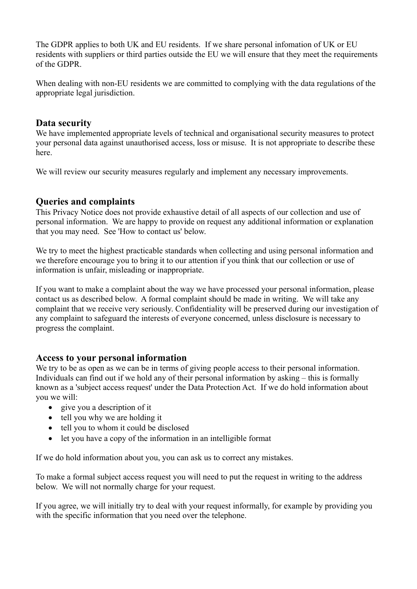The GDPR applies to both UK and EU residents. If we share personal infomation of UK or EU residents with suppliers or third parties outside the EU we will ensure that they meet the requirements of the GDPR.

When dealing with non-EU residents we are committed to complying with the data regulations of the appropriate legal jurisdiction.

### **Data security**

We have implemented appropriate levels of technical and organisational security measures to protect your personal data against unauthorised access, loss or misuse. It is not appropriate to describe these here.

We will review our security measures regularly and implement any necessary improvements.

# **Queries and complaints**

This Privacy Notice does not provide exhaustive detail of all aspects of our collection and use of personal information. We are happy to provide on request any additional information or explanation that you may need. See 'How to contact us' below.

We try to meet the highest practicable standards when collecting and using personal information and we therefore encourage you to bring it to our attention if you think that our collection or use of information is unfair, misleading or inappropriate.

If you want to make a complaint about the way we have processed your personal information, please contact us as described below. A formal complaint should be made in writing. We will take any complaint that we receive very seriously. Confidentiality will be preserved during our investigation of any complaint to safeguard the interests of everyone concerned, unless disclosure is necessary to progress the complaint.

### **Access to your personal information**

We try to be as open as we can be in terms of giving people access to their personal information. Individuals can find out if we hold any of their personal information by asking – this is formally known as a 'subject access request' under the Data Protection Act. If we do hold information about you we will:

- give you a description of it
- tell you why we are holding it
- tell you to whom it could be disclosed
- let you have a copy of the information in an intelligible format

If we do hold information about you, you can ask us to correct any mistakes.

To make a formal subject access request you will need to put the request in writing to the address below. We will not normally charge for your request.

If you agree, we will initially try to deal with your request informally, for example by providing you with the specific information that you need over the telephone.